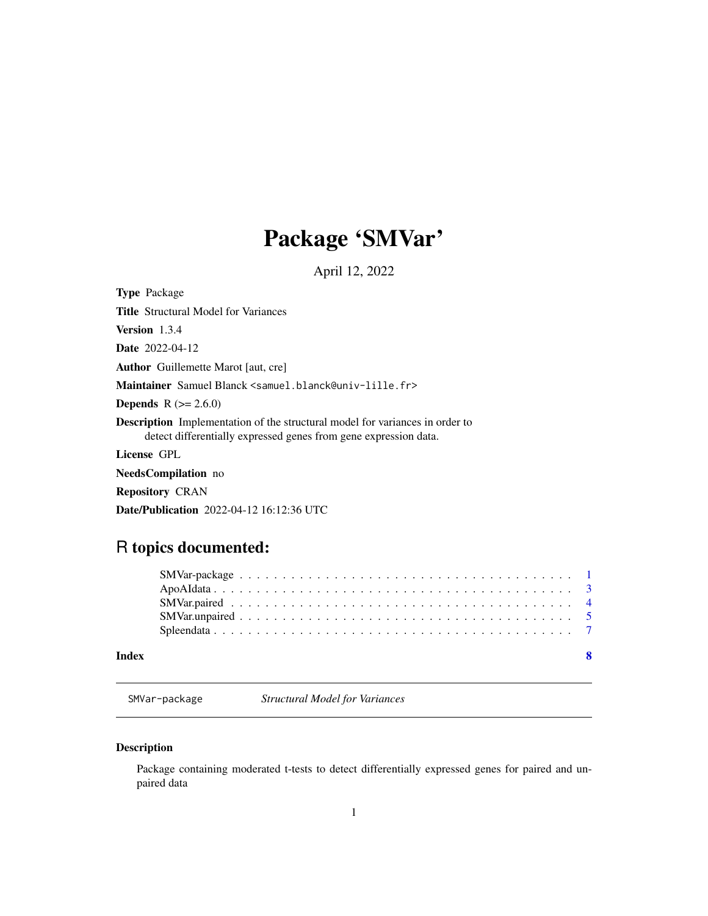## Package 'SMVar'

April 12, 2022

<span id="page-0-0"></span>Type Package Title Structural Model for Variances Version 1.3.4 Date 2022-04-12 Author Guillemette Marot [aut, cre] Maintainer Samuel Blanck <samuel.blanck@univ-lille.fr> **Depends**  $R (= 2.6.0)$ Description Implementation of the structural model for variances in order to detect differentially expressed genes from gene expression data. License GPL NeedsCompilation no Repository CRAN Date/Publication 2022-04-12 16:12:36 UTC

### R topics documented:

#### **Index** [8](#page-7-0) **8**

SMVar-package *Structural Model for Variances*

#### Description

Package containing moderated t-tests to detect differentially expressed genes for paired and unpaired data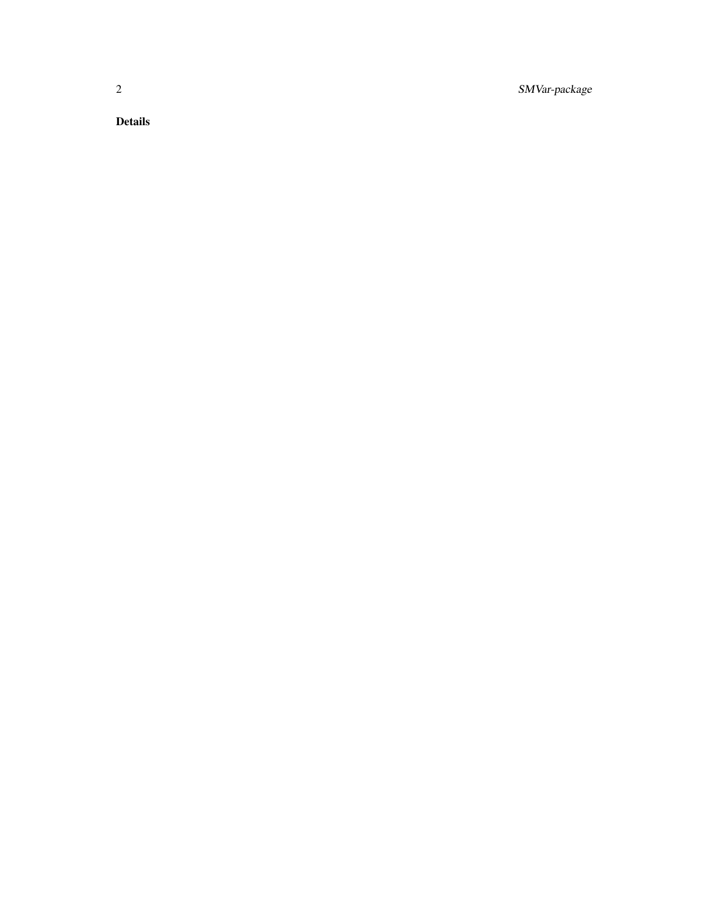2 SMVar-package

Details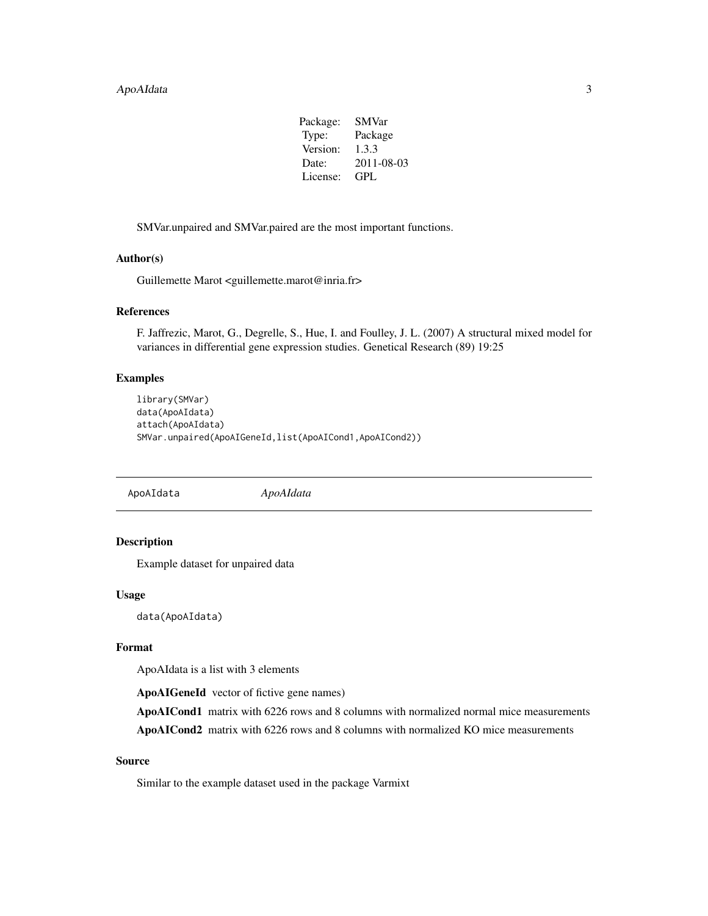#### <span id="page-2-0"></span>ApoAIdata 3

| Package: | <b>SMVar</b> |
|----------|--------------|
| Type:    | Package      |
| Version: | 1.3.3        |
| Date:    | 2011-08-03   |
| License: | GPL.         |

SMVar.unpaired and SMVar.paired are the most important functions.

#### Author(s)

Guillemette Marot <guillemette.marot@inria.fr>

#### References

F. Jaffrezic, Marot, G., Degrelle, S., Hue, I. and Foulley, J. L. (2007) A structural mixed model for variances in differential gene expression studies. Genetical Research (89) 19:25

#### Examples

```
library(SMVar)
data(ApoAIdata)
attach(ApoAIdata)
SMVar.unpaired(ApoAIGeneId,list(ApoAICond1,ApoAICond2))
```
ApoAIdata *ApoAIdata*

#### Description

Example dataset for unpaired data

#### Usage

data(ApoAIdata)

#### Format

ApoAIdata is a list with 3 elements

ApoAIGeneId vector of fictive gene names)

ApoAICond1 matrix with 6226 rows and 8 columns with normalized normal mice measurements ApoAICond2 matrix with 6226 rows and 8 columns with normalized KO mice measurements

#### Source

Similar to the example dataset used in the package Varmixt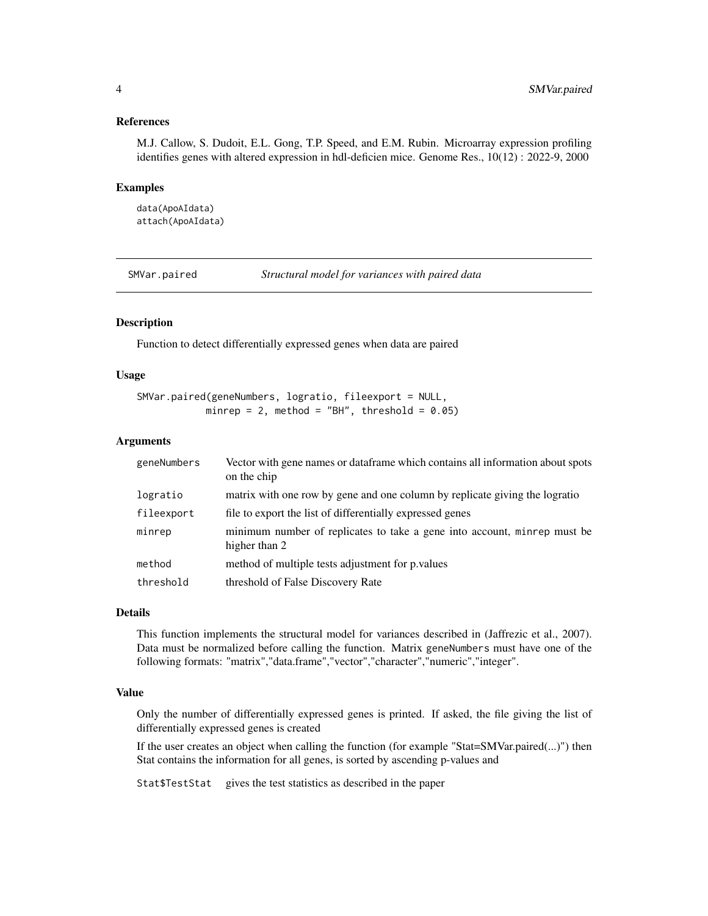#### <span id="page-3-0"></span>References

M.J. Callow, S. Dudoit, E.L. Gong, T.P. Speed, and E.M. Rubin. Microarray expression profiling identifies genes with altered expression in hdl-deficien mice. Genome Res., 10(12) : 2022-9, 2000

#### Examples

data(ApoAIdata) attach(ApoAIdata)

SMVar.paired *Structural model for variances with paired data*

#### Description

Function to detect differentially expressed genes when data are paired

#### Usage

```
SMVar.paired(geneNumbers, logratio, fileexport = NULL,
           minrep = 2, method = "BH", threshold = 0.05)
```
#### Arguments

| geneNumbers | Vector with gene names or dataframe which contains all information about spots<br>on the chip |
|-------------|-----------------------------------------------------------------------------------------------|
| logratio    | matrix with one row by gene and one column by replicate giving the logratio                   |
| fileexport  | file to export the list of differentially expressed genes                                     |
| minrep      | minimum number of replicates to take a gene into account, minrep must be<br>higher than 2     |
| method      | method of multiple tests adjustment for p. values                                             |
| threshold   | threshold of False Discovery Rate                                                             |

#### Details

This function implements the structural model for variances described in (Jaffrezic et al., 2007). Data must be normalized before calling the function. Matrix geneNumbers must have one of the following formats: "matrix","data.frame","vector","character","numeric","integer".

#### Value

Only the number of differentially expressed genes is printed. If asked, the file giving the list of differentially expressed genes is created

If the user creates an object when calling the function (for example "Stat=SMVar.paired(...)") then Stat contains the information for all genes, is sorted by ascending p-values and

Stat\$TestStat gives the test statistics as described in the paper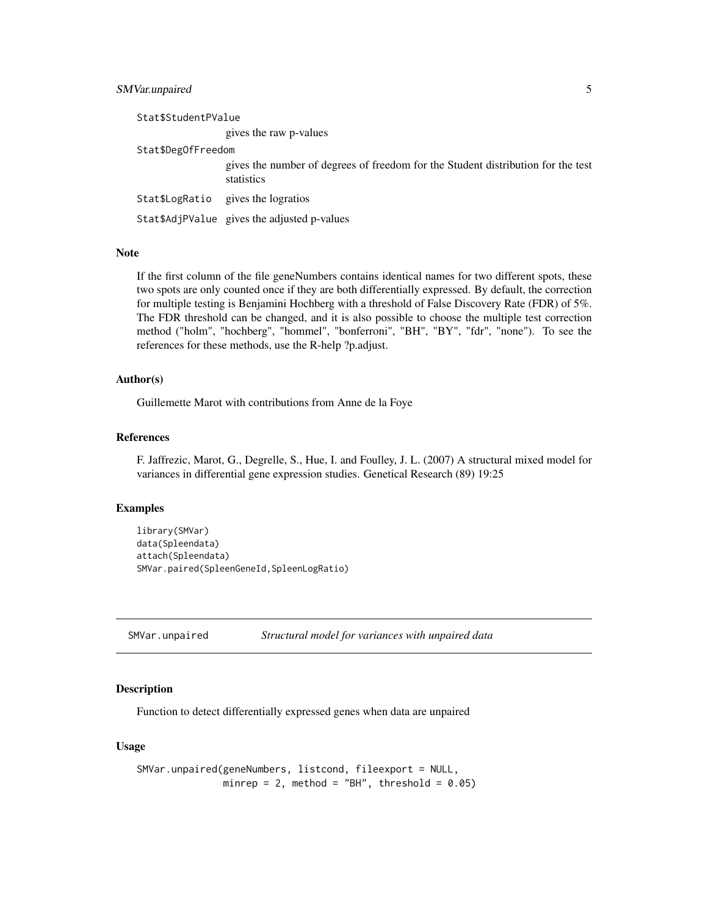#### <span id="page-4-0"></span>SMVar.unpaired 5

Stat\$StudentPValue gives the raw p-values Stat\$DegOfFreedom gives the number of degrees of freedom for the Student distribution for the test statistics Stat\$LogRatio gives the logratios Stat\$AdjPValue gives the adjusted p-values

#### Note

If the first column of the file geneNumbers contains identical names for two different spots, these two spots are only counted once if they are both differentially expressed. By default, the correction for multiple testing is Benjamini Hochberg with a threshold of False Discovery Rate (FDR) of 5%. The FDR threshold can be changed, and it is also possible to choose the multiple test correction method ("holm", "hochberg", "hommel", "bonferroni", "BH", "BY", "fdr", "none"). To see the references for these methods, use the R-help ?p.adjust.

#### Author(s)

Guillemette Marot with contributions from Anne de la Foye

#### References

F. Jaffrezic, Marot, G., Degrelle, S., Hue, I. and Foulley, J. L. (2007) A structural mixed model for variances in differential gene expression studies. Genetical Research (89) 19:25

#### Examples

```
library(SMVar)
data(Spleendata)
attach(Spleendata)
SMVar.paired(SpleenGeneId,SpleenLogRatio)
```
SMVar.unpaired *Structural model for variances with unpaired data*

#### Description

Function to detect differentially expressed genes when data are unpaired

#### Usage

```
SMVar.unpaired(geneNumbers, listcond, fileexport = NULL,
              minrep = 2, method = "BH", threshold = 0.05)
```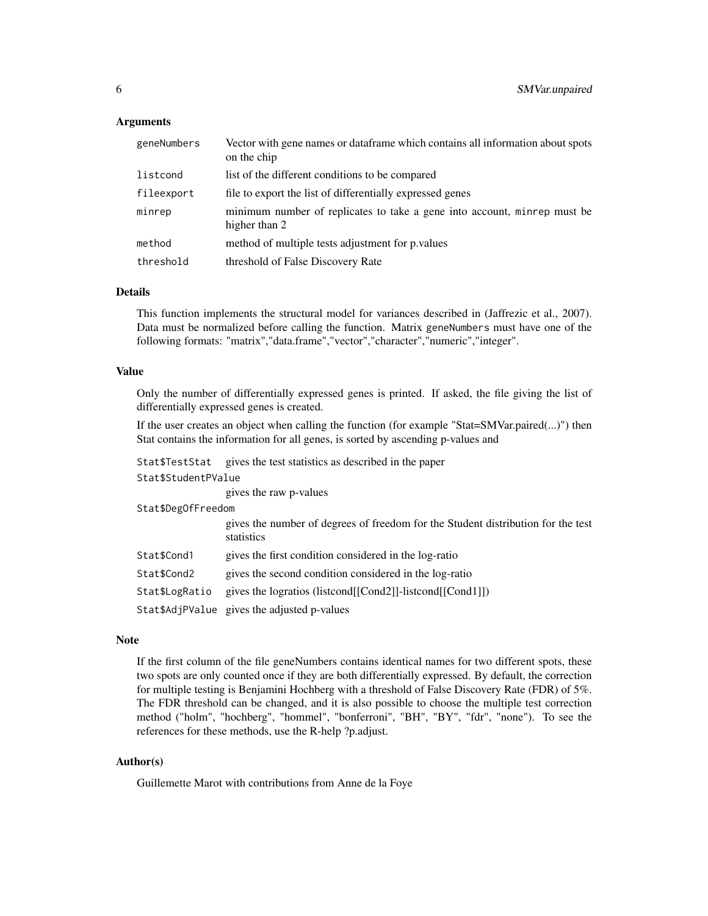#### Arguments

| geneNumbers | Vector with gene names or dataframe which contains all information about spots<br>on the chip |
|-------------|-----------------------------------------------------------------------------------------------|
| listcond    | list of the different conditions to be compared                                               |
| fileexport  | file to export the list of differentially expressed genes                                     |
| minrep      | minimum number of replicates to take a gene into account, minrep must be<br>higher than 2     |
| method      | method of multiple tests adjustment for p. values                                             |
| threshold   | threshold of False Discovery Rate                                                             |

#### Details

This function implements the structural model for variances described in (Jaffrezic et al., 2007). Data must be normalized before calling the function. Matrix geneNumbers must have one of the following formats: "matrix","data.frame","vector","character","numeric","integer".

#### Value

Only the number of differentially expressed genes is printed. If asked, the file giving the list of differentially expressed genes is created.

If the user creates an object when calling the function (for example "Stat=SMVar.paired(...)") then Stat contains the information for all genes, is sorted by ascending p-values and

| Stat\$TestStat      | gives the test statistics as described in the paper                                            |  |  |  |  |  |
|---------------------|------------------------------------------------------------------------------------------------|--|--|--|--|--|
| Stat\$StudentPValue |                                                                                                |  |  |  |  |  |
|                     | gives the raw p-values                                                                         |  |  |  |  |  |
| Stat\$DegOfFreedom  |                                                                                                |  |  |  |  |  |
|                     | gives the number of degrees of freedom for the Student distribution for the test<br>statistics |  |  |  |  |  |
| Stat\$Cond1         | gives the first condition considered in the log-ratio                                          |  |  |  |  |  |
| Stat\$Cond2         | gives the second condition considered in the log-ratio                                         |  |  |  |  |  |
| Stat\$LogRatio      | gives the logratios (listcond[[Cond2]]-listcond[[Cond1]])                                      |  |  |  |  |  |
|                     | Stat \$AdjPValue gives the adjusted p-values                                                   |  |  |  |  |  |

#### Note

If the first column of the file geneNumbers contains identical names for two different spots, these two spots are only counted once if they are both differentially expressed. By default, the correction for multiple testing is Benjamini Hochberg with a threshold of False Discovery Rate (FDR) of 5%. The FDR threshold can be changed, and it is also possible to choose the multiple test correction method ("holm", "hochberg", "hommel", "bonferroni", "BH", "BY", "fdr", "none"). To see the references for these methods, use the R-help ?p.adjust.

#### Author(s)

Guillemette Marot with contributions from Anne de la Foye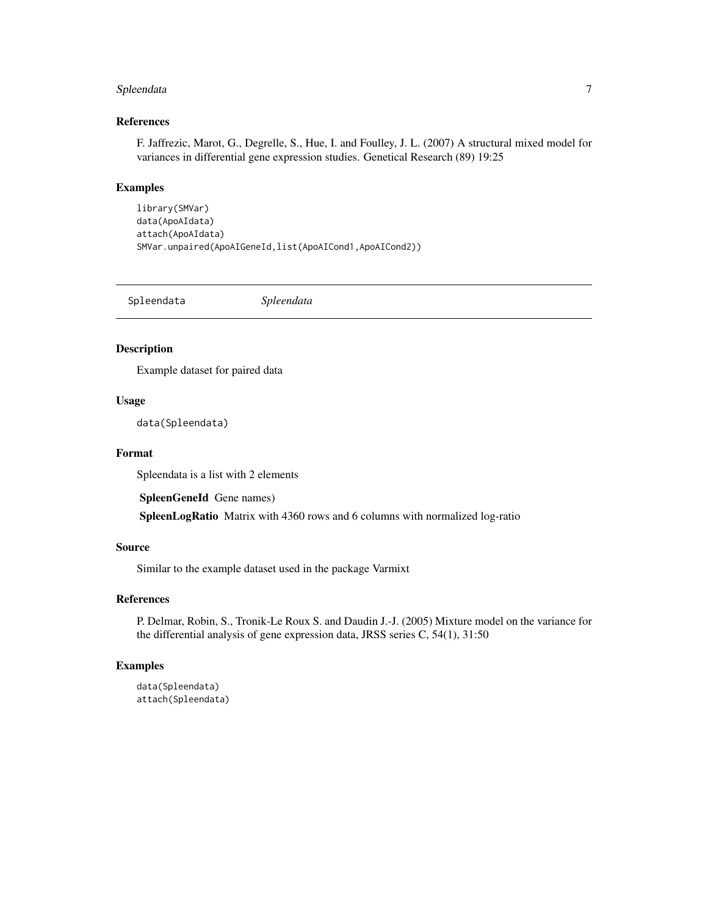#### <span id="page-6-0"></span>Spleendata 7

#### References

F. Jaffrezic, Marot, G., Degrelle, S., Hue, I. and Foulley, J. L. (2007) A structural mixed model for variances in differential gene expression studies. Genetical Research (89) 19:25

#### Examples

```
library(SMVar)
data(ApoAIdata)
attach(ApoAIdata)
SMVar.unpaired(ApoAIGeneId,list(ApoAICond1,ApoAICond2))
```
Spleendata *Spleendata*

#### Description

Example dataset for paired data

#### Usage

data(Spleendata)

#### Format

Spleendata is a list with 2 elements

SpleenGeneId Gene names)

SpleenLogRatio Matrix with 4360 rows and 6 columns with normalized log-ratio

#### Source

Similar to the example dataset used in the package Varmixt

#### References

P. Delmar, Robin, S., Tronik-Le Roux S. and Daudin J.-J. (2005) Mixture model on the variance for the differential analysis of gene expression data, JRSS series C, 54(1), 31:50

#### Examples

```
data(Spleendata)
attach(Spleendata)
```